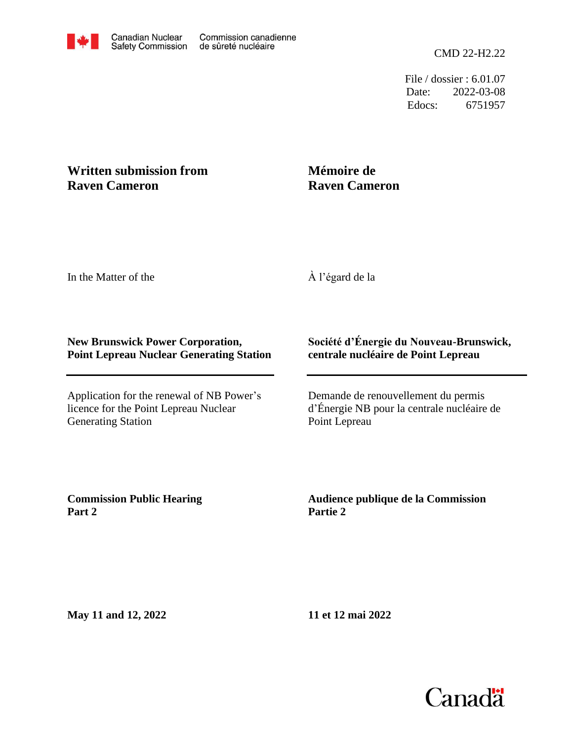Edocs: 6751957 Date: 2022-03-08 File / dossier : 6.01.07

## **Written submission from Raven Cameron**

## **Mémoire de Raven Cameron**

In the Matter of the

À l'égard de la

## **New Brunswick Power Corporation, Point Lepreau Nuclear Generating Station**

Application for the renewal of NB Power's licence for the Point Lepreau Nuclear Generating Station

## **Société d'Énergie du Nouveau-Brunswick, centrale nucléaire de Point Lepreau**

Demande de renouvellement du permis d'Énergie NB pour la centrale nucléaire de Point Lepreau

**Commission Public Hearing Part 2**

**Audience publique de la Commission Partie 2**

**May 11 and 12, 2022**

**11 et 12 mai 2022**